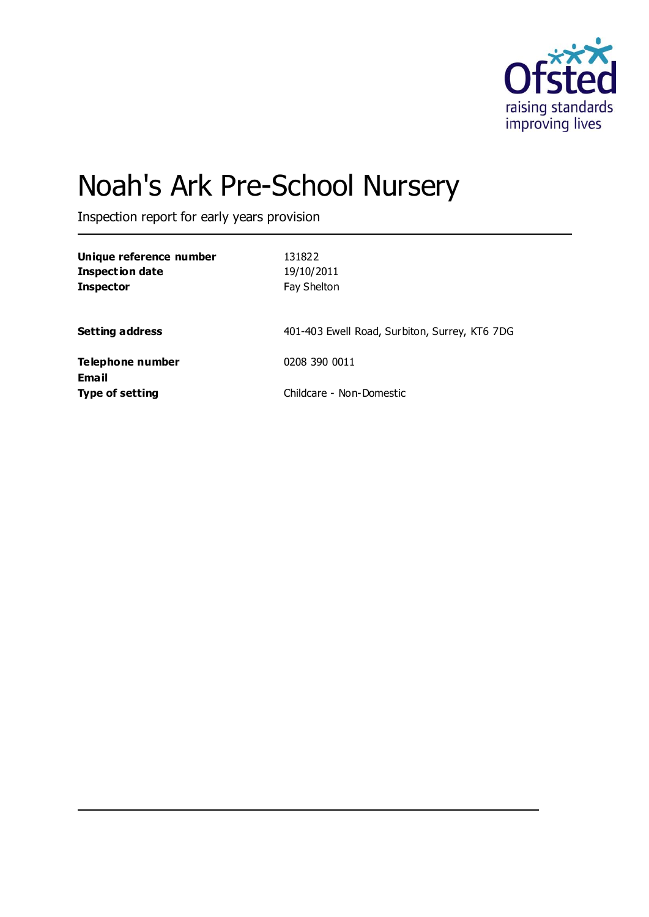

# Noah's Ark Pre-School Nursery

Inspection report for early years provision

| Unique reference number<br><b>Inspection date</b><br><b>Inspector</b> | 131822<br>19/10/2011<br>Fay Shelton           |
|-----------------------------------------------------------------------|-----------------------------------------------|
| <b>Setting address</b>                                                | 401-403 Ewell Road, Surbiton, Surrey, KT6 7DG |
| Telephone number<br>Email                                             | 0208 390 0011                                 |
| <b>Type of setting</b>                                                | Childcare - Non-Domestic                      |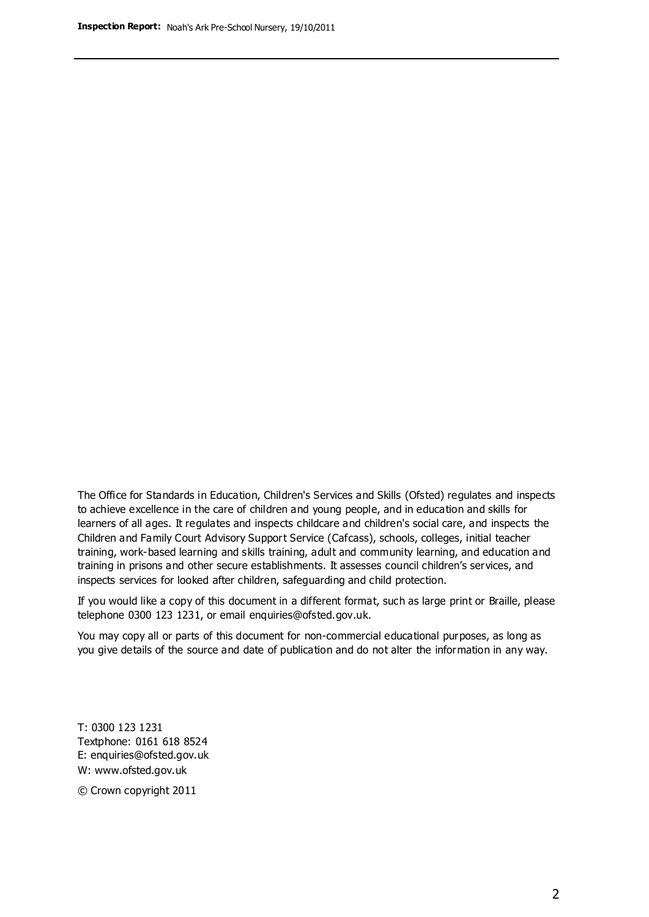The Office for Standards in Education, Children's Services and Skills (Ofsted) regulates and inspects to achieve excellence in the care of children and young people, and in education and skills for learners of all ages. It regulates and inspects childcare and children's social care, and inspects the Children and Family Court Advisory Support Service (Cafcass), schools, colleges, initial teacher training, work-based learning and skills training, adult and community learning, and education and training in prisons and other secure establishments. It assesses council children's services, and inspects services for looked after children, safeguarding and child protection.

If you would like a copy of this document in a different format, such as large print or Braille, please telephone 0300 123 1231, or email enquiries@ofsted.gov.uk.

You may copy all or parts of this document for non-commercial educational purposes, as long as you give details of the source and date of publication and do not alter the information in any way.

T: 0300 123 1231 Textphone: 0161 618 8524 E: enquiries@ofsted.gov.uk W: [www.ofsted.gov.uk](http://www.ofsted.gov.uk/)

© Crown copyright 2011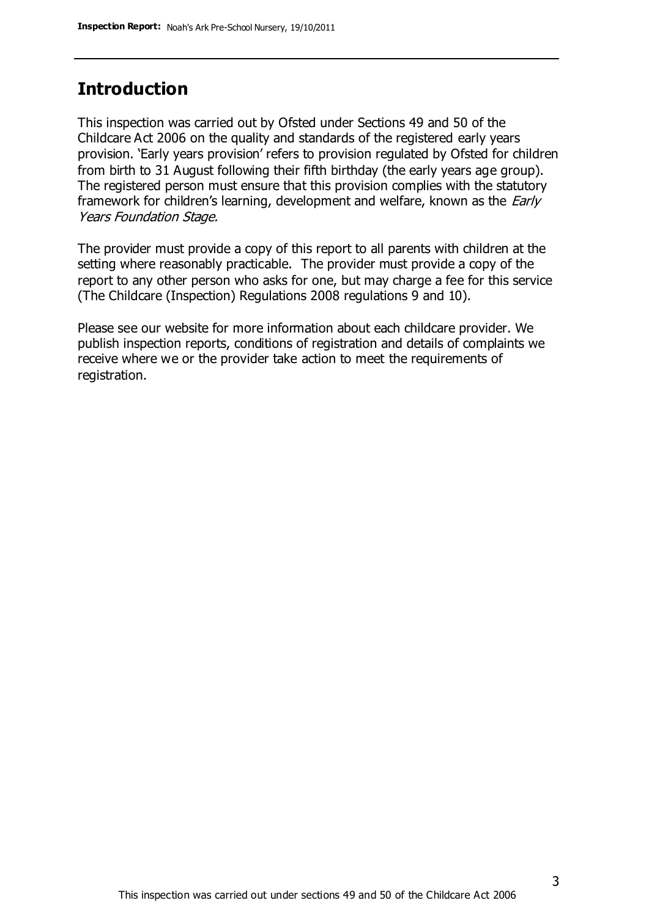### **Introduction**

This inspection was carried out by Ofsted under Sections 49 and 50 of the Childcare Act 2006 on the quality and standards of the registered early years provision. 'Early years provision' refers to provision regulated by Ofsted for children from birth to 31 August following their fifth birthday (the early years age group). The registered person must ensure that this provision complies with the statutory framework for children's learning, development and welfare, known as the *Early* Years Foundation Stage.

The provider must provide a copy of this report to all parents with children at the setting where reasonably practicable. The provider must provide a copy of the report to any other person who asks for one, but may charge a fee for this service (The Childcare (Inspection) Regulations 2008 regulations 9 and 10).

Please see our website for more information about each childcare provider. We publish inspection reports, conditions of registration and details of complaints we receive where we or the provider take action to meet the requirements of registration.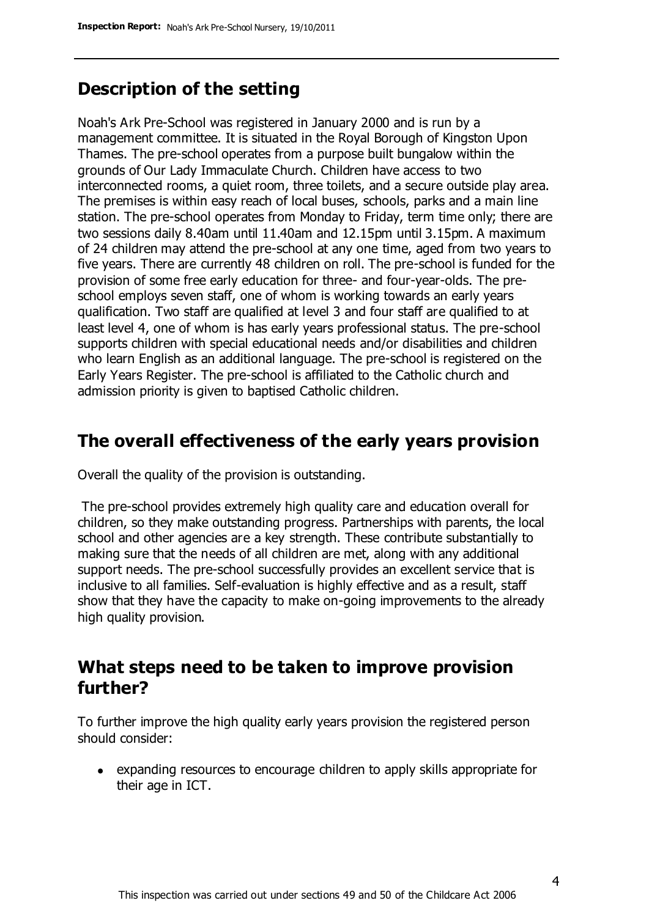# **Description of the setting**

Noah's Ark Pre-School was registered in January 2000 and is run by a management committee. It is situated in the Royal Borough of Kingston Upon Thames. The pre-school operates from a purpose built bungalow within the grounds of Our Lady Immaculate Church. Children have access to two interconnected rooms, a quiet room, three toilets, and a secure outside play area. The premises is within easy reach of local buses, schools, parks and a main line station. The pre-school operates from Monday to Friday, term time only; there are two sessions daily 8.40am until 11.40am and 12.15pm until 3.15pm. A maximum of 24 children may attend the pre-school at any one time, aged from two years to five years. There are currently 48 children on roll. The pre-school is funded for the provision of some free early education for three- and four-year-olds. The preschool employs seven staff, one of whom is working towards an early years qualification. Two staff are qualified at level 3 and four staff are qualified to at least level 4, one of whom is has early years professional status. The pre-school supports children with special educational needs and/or disabilities and children who learn English as an additional language. The pre-school is registered on the Early Years Register. The pre-school is affiliated to the Catholic church and admission priority is given to baptised Catholic children.

### **The overall effectiveness of the early years provision**

Overall the quality of the provision is outstanding.

The pre-school provides extremely high quality care and education overall for children, so they make outstanding progress. Partnerships with parents, the local school and other agencies are a key strength. These contribute substantially to making sure that the needs of all children are met, along with any additional support needs. The pre-school successfully provides an excellent service that is inclusive to all families. Self-evaluation is highly effective and as a result, staff show that they have the capacity to make on-going improvements to the already high quality provision.

## **What steps need to be taken to improve provision further?**

To further improve the high quality early years provision the registered person should consider:

expanding resources to encourage children to apply skills appropriate for their age in ICT.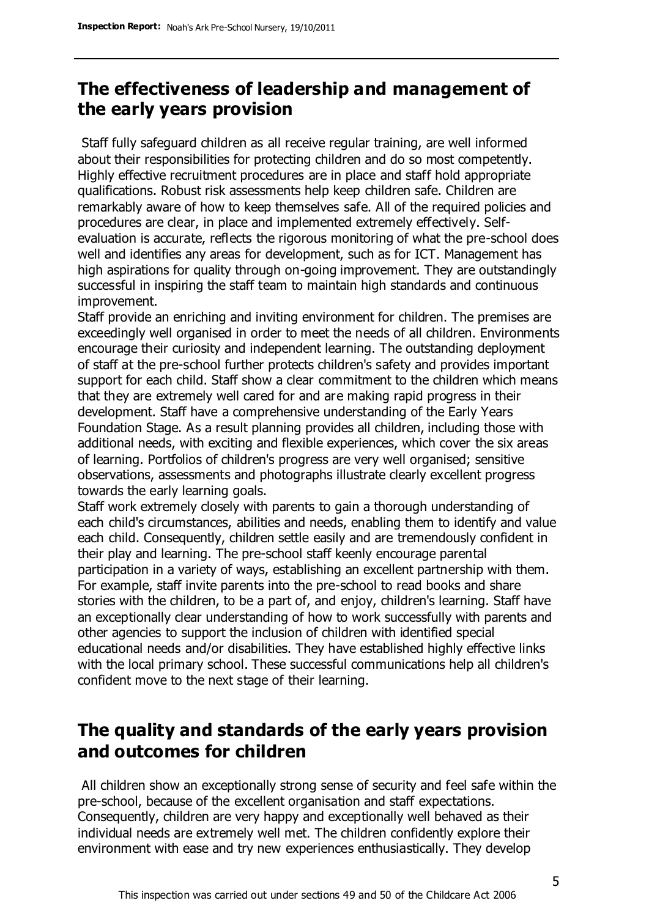# **The effectiveness of leadership and management of the early years provision**

Staff fully safeguard children as all receive regular training, are well informed about their responsibilities for protecting children and do so most competently. Highly effective recruitment procedures are in place and staff hold appropriate qualifications. Robust risk assessments help keep children safe. Children are remarkably aware of how to keep themselves safe. All of the required policies and procedures are clear, in place and implemented extremely effectively. Selfevaluation is accurate, reflects the rigorous monitoring of what the pre-school does well and identifies any areas for development, such as for ICT. Management has high aspirations for quality through on-going improvement. They are outstandingly successful in inspiring the staff team to maintain high standards and continuous improvement.

Staff provide an enriching and inviting environment for children. The premises are exceedingly well organised in order to meet the needs of all children. Environments encourage their curiosity and independent learning. The outstanding deployment of staff at the pre-school further protects children's safety and provides important support for each child. Staff show a clear commitment to the children which means that they are extremely well cared for and are making rapid progress in their development. Staff have a comprehensive understanding of the Early Years Foundation Stage. As a result planning provides all children, including those with additional needs, with exciting and flexible experiences, which cover the six areas of learning. Portfolios of children's progress are very well organised; sensitive observations, assessments and photographs illustrate clearly excellent progress towards the early learning goals.

Staff work extremely closely with parents to gain a thorough understanding of each child's circumstances, abilities and needs, enabling them to identify and value each child. Consequently, children settle easily and are tremendously confident in their play and learning. The pre-school staff keenly encourage parental participation in a variety of ways, establishing an excellent partnership with them. For example, staff invite parents into the pre-school to read books and share stories with the children, to be a part of, and enjoy, children's learning. Staff have an exceptionally clear understanding of how to work successfully with parents and other agencies to support the inclusion of children with identified special educational needs and/or disabilities. They have established highly effective links with the local primary school. These successful communications help all children's confident move to the next stage of their learning.

# **The quality and standards of the early years provision and outcomes for children**

All children show an exceptionally strong sense of security and feel safe within the pre-school, because of the excellent organisation and staff expectations. Consequently, children are very happy and exceptionally well behaved as their individual needs are extremely well met. The children confidently explore their environment with ease and try new experiences enthusiastically. They develop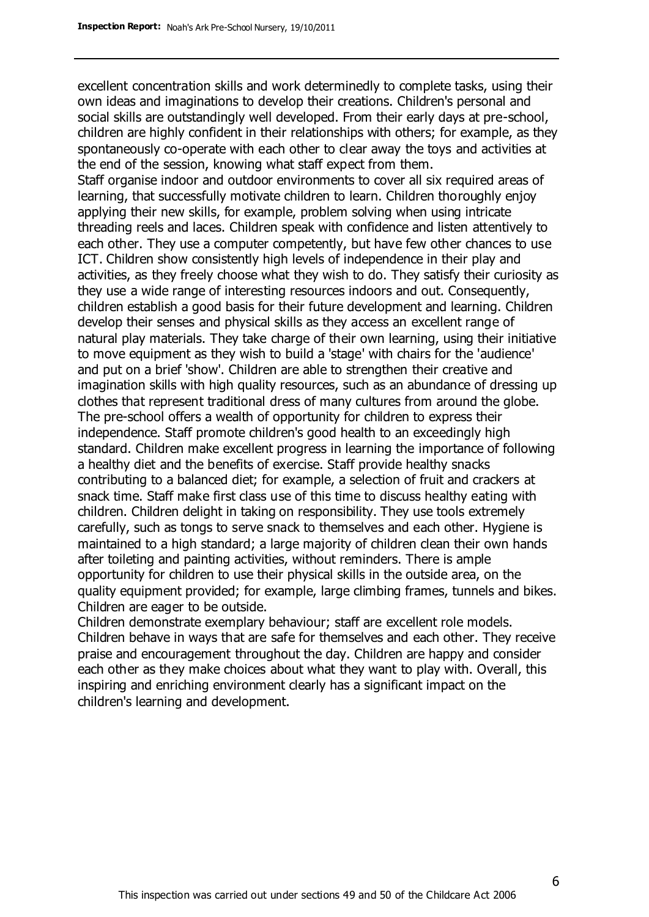excellent concentration skills and work determinedly to complete tasks, using their own ideas and imaginations to develop their creations. Children's personal and social skills are outstandingly well developed. From their early days at pre-school, children are highly confident in their relationships with others; for example, as they spontaneously co-operate with each other to clear away the toys and activities at the end of the session, knowing what staff expect from them.

Staff organise indoor and outdoor environments to cover all six required areas of learning, that successfully motivate children to learn. Children thoroughly enjoy applying their new skills, for example, problem solving when using intricate threading reels and laces. Children speak with confidence and listen attentively to each other. They use a computer competently, but have few other chances to use ICT. Children show consistently high levels of independence in their play and activities, as they freely choose what they wish to do. They satisfy their curiosity as they use a wide range of interesting resources indoors and out. Consequently, children establish a good basis for their future development and learning. Children develop their senses and physical skills as they access an excellent range of natural play materials. They take charge of their own learning, using their initiative to move equipment as they wish to build a 'stage' with chairs for the 'audience' and put on a brief 'show'. Children are able to strengthen their creative and imagination skills with high quality resources, such as an abundance of dressing up clothes that represent traditional dress of many cultures from around the globe. The pre-school offers a wealth of opportunity for children to express their independence. Staff promote children's good health to an exceedingly high standard. Children make excellent progress in learning the importance of following a healthy diet and the benefits of exercise. Staff provide healthy snacks contributing to a balanced diet; for example, a selection of fruit and crackers at snack time. Staff make first class use of this time to discuss healthy eating with children. Children delight in taking on responsibility. They use tools extremely carefully, such as tongs to serve snack to themselves and each other. Hygiene is maintained to a high standard; a large majority of children clean their own hands after toileting and painting activities, without reminders. There is ample opportunity for children to use their physical skills in the outside area, on the quality equipment provided; for example, large climbing frames, tunnels and bikes. Children are eager to be outside.

Children demonstrate exemplary behaviour; staff are excellent role models. Children behave in ways that are safe for themselves and each other. They receive praise and encouragement throughout the day. Children are happy and consider each other as they make choices about what they want to play with. Overall, this inspiring and enriching environment clearly has a significant impact on the children's learning and development.